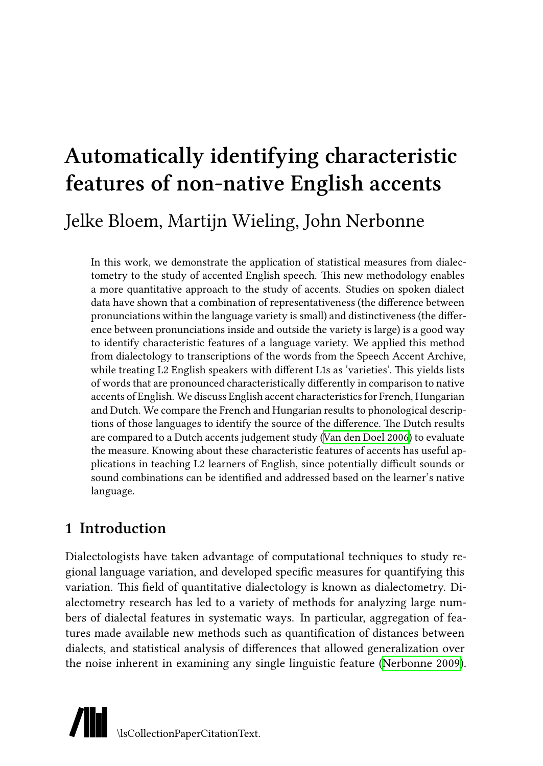Jelke Bloem, Martijn Wieling, John Nerbonne

In this work, we demonstrate the application of statistical measures from dialectometry to the study of accented English speech. This new methodology enables a more quantitative approach to the study of accents. Studies on spoken dialect data have shown that a combination of representativeness (the difference between pronunciations within the language variety is smal[l\) and distinctivenes](#page-15-0)s (the difference between pronunciations inside and outside the variety is large) is a good way to identify characteristic features of a language variety. We applied this method from dialectology to transcriptions of the words from the Speech Accent Archive, while treating L2 English speakers with different L1s as 'varieties'. This yields lists of words that are pronounced characteristically differently in comparison to native accents of English. We discuss English accent characteristics for French, Hungarian and Dutch. We compare the French and Hungarian results to phonological descriptions of those languages to identify the source of the difference. The Dutch results are compared to a Dutch accents judgement study (Van den Doel 2006) to evaluate the measure. Knowing about these characteristic features of accents has useful applications in teaching L2 learners of English, since potentially difficult sounds or sound combinations can be identified and addressed based on the learner's native language.

# **1 Introduction**

Dialectologists have taken advantage of computational techniques to study regional language variation, and developed specific measures for quantifying this variation. This field of quantitative dialectology is known as dialectometry. Dialectometry research has led to a variety of methods for analyzing large numbers of dialectal features in systematic ways. In particular, aggregation of features made available new methods such as quantification of distances between dialects, and statistical analysis of differences that allowed generalization over the noise inherent in examining any single linguistic feature (Nerbonne 2009).

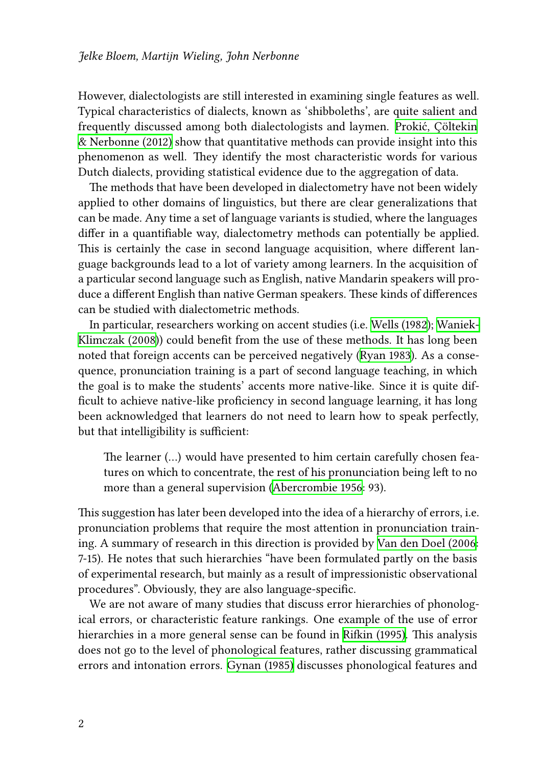However, dialectologists are still interested in examining single features as well. Typical characteristics of dialects, known as 'shibboleths', are quite salient and frequently discussed among both dialectologists and laymen. Prokić, Çöltekin & Nerbonne (2012) show that quantitative methods can provide insight into this phenomenon as well. They identify the most characteristic words for various Dutch dialects, providing statistical evidence due to the aggregation of data.

The methods that have been developed in dialectometry have not been widely applied to other domains of linguistics, but there are clea[r generaliza](#page-16-0)ti[ons that](#page-16-1) [can be made. An](#page-16-1)y time a set of language variants is studied, where the languages differ in a quantifiable way, dialectometry methods ca[n potentiall](#page-16-2)y be applied. This is certainly the case in second language acquisition, where different language backgrounds lead to a lot of variety among learners. In the acquisition of a particular second language such as English, native Mandarin speakers will produce a different English than native German speakers. These kinds of differences can be studied with dialectometric methods.

In particular, researchers working on accent studies (i.e. Wells (1982); Waniek-Klimczak (2008)) could benefit from the use of these methods. It has long been noted that foreign accents can be perc[eived negatively \(R](#page-15-1)yan 1983). As a consequence, pronunciation training is a part of second language teaching, in which the goal is to make the students' accents more native-like. Since it is quite difficult to achieve native-like proficiency in second language learning, it has long been acknowledged that learners do not need to learn ho[w to speak perfectly](#page-15-0), but that intelligibility is sufficient:

The learner (…) would have presented to him certain carefully chosen features on which to concentrate, the rest of his pronunciation being left to no more than a general supervision (Abercrombie 1956: 93).

This suggestion has later been developed into the ide[a of a hierarch](#page-16-3)y of errors, i.e. pronunciation problems that require the most attention in pronunciation training. A summary of research i[n this direction](#page-15-2) is provided by Van den Doel (2006: 7-15). He notes that such hierarchies "have been formulated partly on the basis of experimental research, but mainly as a result of impressionistic observational procedures". Obviously, they are also language-specific.

We are not aware of many studies that discuss error hierarchies of phonological errors, or characteristic feature rankings. One example of the use of error hierarchies in a more general sense can be found in Rifkin (1995). This analysis does not go to the level of phonological features, rather discussing grammatical errors and intonation errors. Gynan (1985) discusses phonological features and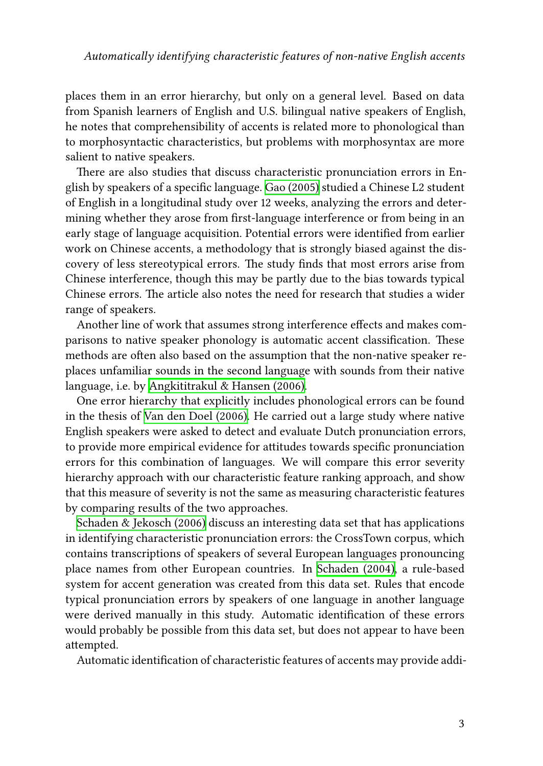places them in an error hierarchy, but only on a general level. Based on data from Spanish learners of English and U.S. bilingual native speakers of English, he notes that comprehensibility of accents is related more to phonological than to morphosyntactic characteristics, but problems with morphosyntax are more salient to native speakers.

There are also studies that discuss characteristic pronunciation errors in English by speakers of a specific language. Gao (2005) studied a Chinese L2 student of English in a longitudinal study over 12 weeks, analyzing the errors and determining whether they arose from first-language interference or from being in an early stage of language acquisition. Potential errors were identified from earlier work on Chinese accents, a methodology that is strongly biased against the discovery of less st[ereotypical errors. The study fi](#page-15-4)nds that most errors arise from Chinese interference, though this may be partly due to the bias towards typical Chinese errors. [The article also note](#page-15-0)s the need for research that studies a wider range of speakers.

Another line of work that assumes strong interference effects and makes comparisons to native speaker phonology is automatic accent classification. These methods are often also based on the assumption that the non-native speaker replaces unfamiliar sounds in the second language with sounds from their native language, i.e. by Angkititrakul & Hansen (2006).

[One error hierarchy that e](#page-16-4)xplicitly includes phonological errors can be found in the thesis of Van den Doel (2006). He carried out a large study where native English speakers were asked to detect and evaluate Dutch pronunciation errors, to provide more empirical evidence for attitudes t[owards specific p](#page-16-5)ronunciation errors for this combination of languages. We will compare this error severity hierarchy approach with our characteristic feature ranking approach, and show that this measure of severity is not the same as measuring characteristic features by comparing results of the two approaches.

Schaden & Jekosch (2006) discuss an interesting data set that has applications in identifying characteristic pronunciation errors: the CrossTown corpus, which contains transcriptions of speakers of several European languages pronouncing place names from other European countries. In Schaden (2004), a rule-based system for accent generation was created from this data set. Rules that encode typical pronunciation errors by speakers of one language in another language were derived manually in this study. Automatic identification of these errors would probably be possible from this data set, but does not appear to have been attempted.

Automatic identification of characteristic features of accents may provide addi-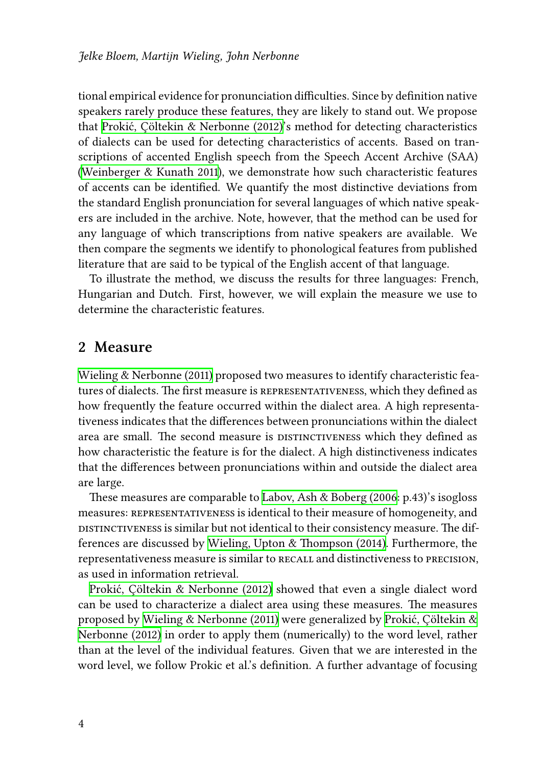tional empirical evidence for pronunciation difficulties. Since by definition native speakers rarely produce these features, they are likely to stand out. We propose that Prokić, Çöltekin & Nerbonne (2012)'s method for detecting characteristics of dialects can be used for detecting characteristics of accents. Based on transcriptions of accented English speech from the Speech Accent Archive (SAA) (Weinberger & Kunath 2011), we demonstrate how such characteristic features of accents can be identified. We quantify the most distinctive deviations from the standard English pronunciation for several languages of which native speakers are included in the archive. Note, however, that the method can be used for any language of which transcriptions from native speakers are available. We [then compare the segments](#page-16-7) we identify to phonological features from published literature that are said to be typical of the English accent of that language.

To illustrate the method, we discuss the results for three languages: French, Hungarian and Dutch. First, however, we will explain the measure we use to determine the characteristic features.

# **2 Measure**

Wieling & Nerbonne (2011) proposed [two measures to identify ch](#page-15-5)aracteristic features of dialects. The first measure is representativeness, which they defined as how frequently the feature occurred within the dialect area. A high representativeness indicates that the [differences between pronunciations](#page-16-8) within the dialect area are small. The second measure is DISTINCTIVENESS which they defined as how characteristic the feature is for the dialect. A high distinctiveness indicates th[at the differences between pronuncia](#page-16-9)tions within and outside the dialect area are large.

These mea[sures are comparable to](#page-16-7) Labov, Ash & Boberg (20[06: p.43\)'s isogloss](#page-16-9) [measures:](#page-16-9) representativenessis identical to their measure of homogeneity, and distinctivenessis similar but not identical to their consistency measure. The differences are discussed by Wieling, Upton & Thompson (2014). Furthermore, the representativeness measure is similar to recall and distinctiveness to precision, as used in information retrieval.

Prokić, Çöltekin & Nerbonne (2012) showed that even a single dialect word can be used to characterize a dialect area using these measures. The measures proposed by Wieling & Nerbonne (2011) were generalized by Prokić, Çöltekin & Nerbonne (2012) in order to apply them (numerically) to the word level, rather than at the level of the individual features. Given that we are interested in the word level, we follow Prokic et al.'s definition. A further advantage of focusing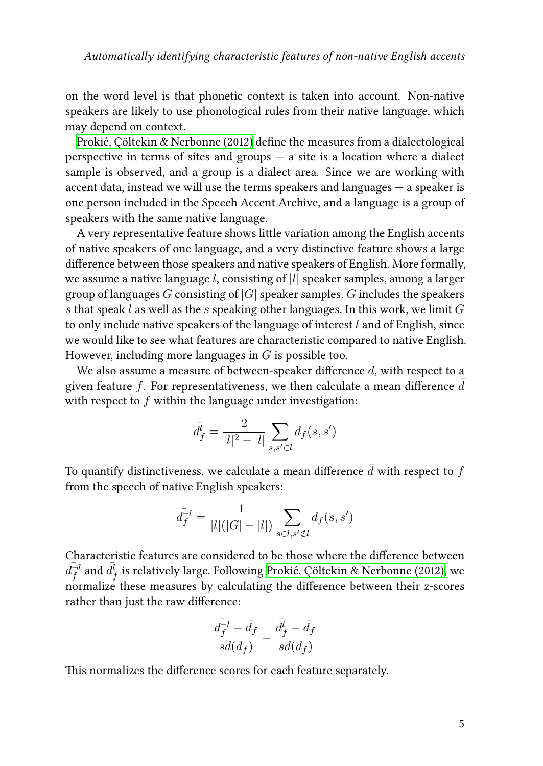on the word level is that phonetic context is taken into account. Non-native speakers are likely to use phonological rules from their native language, which may depend on context.

Prokić, Çöltekin & Nerbonne (2012) define the measures from a dialectological perspective in terms of sites and groups  $-$  a site is a location where a dialect sample is observed, and a group is a dialect area. Since we are working with accent data, instead we will use the terms speakers and languages — a speaker is one person included in the Speech Accent Archive, and a language is a group of speakers with the same native language.

A very representative feature shows little variation among the English accents of native speakers of one language, and a very distinctive feature shows a large difference between those speakers and native speakers of English. More formally, we assume a native language *l*, consisting of *|l|* speaker samples, among a larger group of languages *G* consisting of *|G|* speaker samples. *G* includes the speakers *s* that speak *l* as well as the *s* speaking other languages. In this work, we limit *G* to only include native speakers of the language of interest *l* and of English, since we would like to see what features are characteristic compared to native English. However, including more languages in *G* is possible too.

We also assume a measure of between-speaker difference *d*, with respect to a given feature *f*. For representativeness, we then calculate a mean difference  $\overline{d}$ with respect to *f* within the language under investigation:

$$
\bar{d}_f^{\bar{l}} = \frac{2}{|l|^2 - |l|} \sum_{s, s' \in l} d_f(s, s')
$$

To quantify distinctiveness, we calculate a mean difference  $\bar{d}$  with respect to  $f$ from the speech of native English speakers:

$$
\bar{d_f}^{-l} = \frac{1}{|l|(|G|-|l|)} \sum_{s \in l, s' \notin l} d_f(s, s')
$$

Characteristic features are considered to be those where the difference between  $\bar{d_f^{-l}}$  and  $\bar{d_f^{l}}$  is relatively large. Following Prokić, Çöltekin & Nerbonne (2012), we normalize these measures by calculating the difference between their z-scores rather than just the raw difference:

$$
\frac{\bar{d_f^{-l}}-\bar{d_f}}{sd(d_f)}-\frac{\bar{d_f^l}-\bar{d_f}}{sd(d_f)}
$$

This normalizes the difference scores for each feature separately.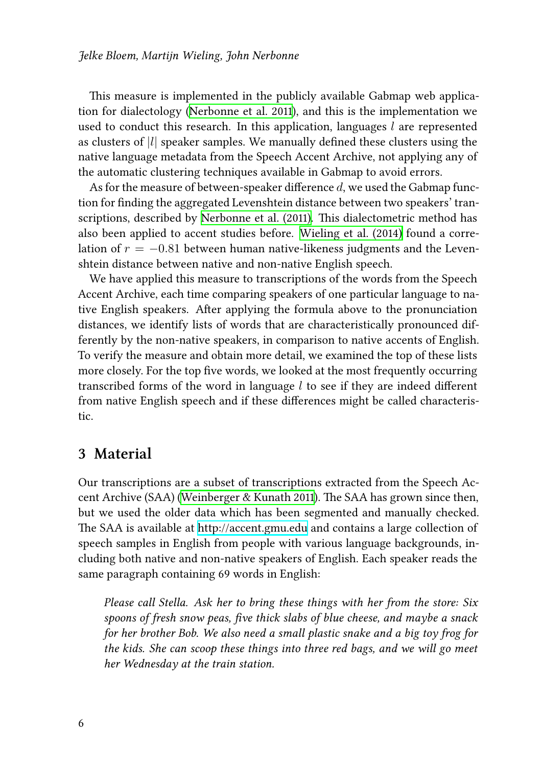This measure is imple[mented in the publicly](#page-15-6) available Gabmap web application for dialectology (Nerbonne et al. 2011), [and this is the imple](#page-16-10)mentation we used to conduct this research. In this application, languages *l* are represented as clusters of *|l|* speaker samples. We manually defined these clusters using the native language metadata from the Speech Accent Archive, not applying any of the automatic clustering techniques available in Gabmap to avoid errors.

As for the measure of between-speaker difference *d*, we used the Gabmap function for finding the aggregated Levenshtein distance between two speakers' transcriptions, described by Nerbonne et al. (2011). This dialectometric method has also been applied to accent studies before. Wieling et al. (2014) found a correlation of *r* = *−*0*.*81 between human native-likeness judgments and the Levenshtein distance between native and non-native English speech.

We have applied this measure to transcriptions of the words from the Speech Accent Archive, each time comparing speakers of one particular language to native English speakers. After applying the formula above to the pronunciation distances, we identify lists of words that are characteristically pronounced differently by the non-native speakers, in comparison to native accents of English. To verify the measure and obtain more detail, we examined the top of these lists more closely. For th[e top five words, we looked](#page-16-6) at the most frequently occurring transcribed forms of the word in language *l* to see if they are indeed different from native English spe[ech and if these differ](http://accent.gmu.edu)ences might be called characteristic.

# **3 Material**

Our transcriptions are a subset of transcriptions extracted from the Speech Accent Archive (SAA) (Weinberger & Kunath 2011). The SAA has grown since then, but we used the older data which has been segmented and manually checked. The SAA is available at http://accent.gmu.edu and contains a large collection of speech samples in English from people with various language backgrounds, including both native and non-native speakers of English. Each speaker reads the same paragraph containing 69 words in English:

*Please call Stella. Ask her to bring these things with her from the store: Six spoons of fresh snow peas, five thick slabs of blue cheese, and maybe a snack for her brother Bob. We also need a small plastic snake and a big toy frog for the kids. She can scoop these things into three red bags, and we will go meet her Wednesday at the train station.*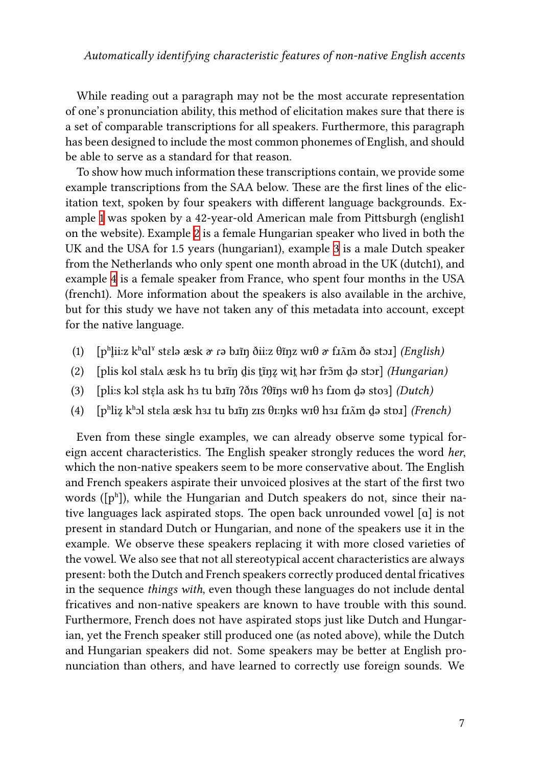Whi[le](#page-6-0) reading out a paragraph may not be the most accurate representation of one's pronunciation ab[il](#page-6-1)ity, this method of elicitation makes sure that there is a set of comparable transcriptions for all speakers. F[urt](#page-6-2)hermore, this paragraph has been designed to include the most common phonemes of English, and should be able t[o s](#page-6-3)erve as a standard for that reason.

<span id="page-6-1"></span><span id="page-6-0"></span>To show how much information these transcriptions contain, we provide some example transcriptions from the SAA below. These are the first lines of the elicitation text, spoken by four speakers with different language backgrounds. Example 1 was spoken by a 42-year-old American male from Pittsburgh (english1 on the website). Example 2 is a female Hungarian speaker who lived in both the UK and the USA for 1.5 years (hungarian1), example 3 is a male Dutch speaker from the Netherlands who only spent one month abroad in the UK (dutch1), and example 4 is a female speaker from France, who spent four months in the USA (french1). More information about the speakers is also available in the archive, but for this study we have not taken any of this metadata into account, except for the native language.

- <span id="page-6-3"></span><span id="page-6-2"></span>(1)  $[p^h]$ ii:z kʰɑlʰ stɛlə æsk  $\sigma$  rə b*i*in ðii:z  $\theta$ inz wɪ $\theta$   $\sigma$  f*i* $\tilde{\Lambda}$ m ðə stɔ*i*] *(English)*
- (2) [plis kol stala æsk hɜ tu brīn dis tīnz wit hər frɔ̃m də stɔr] *(Hungarian)*
- (3) [pliːs kɔl stɛla ask hɜ tu b*ɪ*ĩη ʔðɪs ʔθĩηs wɪθ hɜ f*ɪom d*ə stoɜ] *(Dutch)*
- (4) [pʰliz̥kʰɔl stɛla æsk hɜɹ tu bɹɪŋ zɪs θɪːŋks wɪθ hɜɹ fɹʌ ̃ ̃m də stɒɹ] ̪ *(French)*

Even from these single examples, we can already observe some typical foreign accent characteristics. The English speaker strongly reduces the word *her*, which the non-native speakers seem to be more conservative about. The English and French speakers aspirate their unvoiced plosives at the start of the first two words ( $[p^h]$ ), while the Hungarian and Dutch speakers do not, since their native languages lack aspirated stops. The open back unrounded vowel [ɑ] is not present in standard Dutch or Hungarian, and none of the speakers use it in the example. We observe these speakers replacing it with more closed varieties of the vowel. We also see that not all stereotypical accent characteristics are always present: both the Dutch and French speakers correctly produced dental fricatives in the sequence *things with*, even though these languages do not include dental fricatives and non-native speakers are known to have trouble with this sound. Furthermore, French does not have aspirated stops just like Dutch and Hungarian, yet the French speaker still produced one (as noted above), while the Dutch and Hungarian speakers did not. Some speakers may be better at English pronunciation than others, and have learned to correctly use foreign sounds. We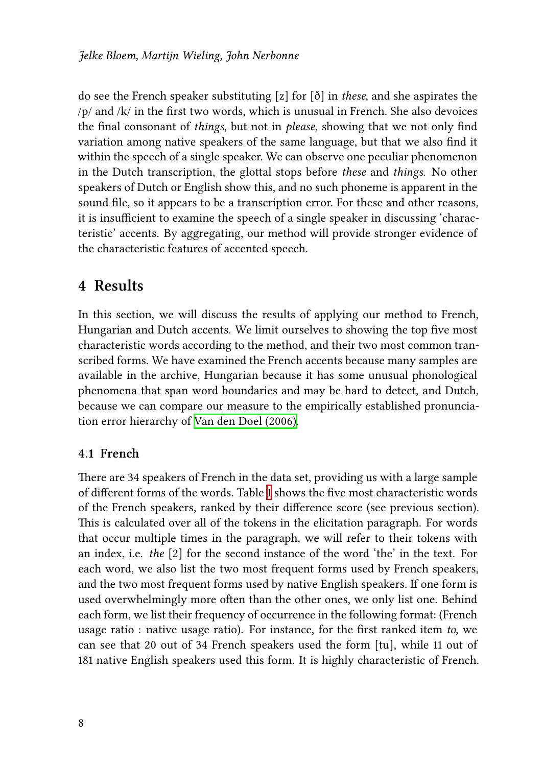do see the French speaker substituting [z] for [ð] in *these*, and she aspirates the /p/ and /k/ in the first two words, which is unusual in French. She also devoices the final consonant of *things*, but not in *please*, showing that we not only find variation among native speakers of the same language, but that we also find it within the speech of a single speaker. We can observe one peculiar phenomenon in the Dutch transcription, the glottal stops before *these* and *things*. No other speakers of Dutch or English show this, and no such phoneme is apparent in the sound file, so it appears to be a transcription error. For these and other reasons, it is insufficient to examine the speech of a single speaker in discussing 'characteristic' accents. By aggregating, our method will provide stronger evidence of the characteristic features of accented speech.

# **4 Results**

In this section, we will discuss the results of applying our method to French, Hungarian and Dutch accents. We limit ourselves to showing the top five most characteristic words according to the method, and their two most common transcribed forms. We have examined the [F](#page-8-0)rench accents because many samples are available in the archive, Hungarian because it has some unusual phonological phenomena that span word boundaries and may be hard to detect, and Dutch, because we can compare our measure to the empirically established pronunciation error hierarchy of Van den Doel (2006).

## **4.1 French**

There are 34 speakers of French in the data set, providing us with a large sample of different forms of the words. Table 1 shows the five most characteristic words of the French speakers, ranked by their difference score (see previous section). This is calculated over all of the tokens in the elicitation paragraph. For words that occur multiple times in the paragraph, we will refer to their tokens with an index, i.e. *the* [2] for the second instance of the word 'the' in the text. For each word, we also list the two most frequent forms used by French speakers, and the two most frequent forms used by native English speakers. If one form is used overwhelmingly more often than the other ones, we only list one. Behind each form, we list their frequency of occurrence in the following format: (French usage ratio : native usage ratio). For instance, for the first ranked item *to*, we can see that 20 out of 34 French speakers used the form [tu], while 11 out of 181 native English speakers used this form. It is highly characteristic of French.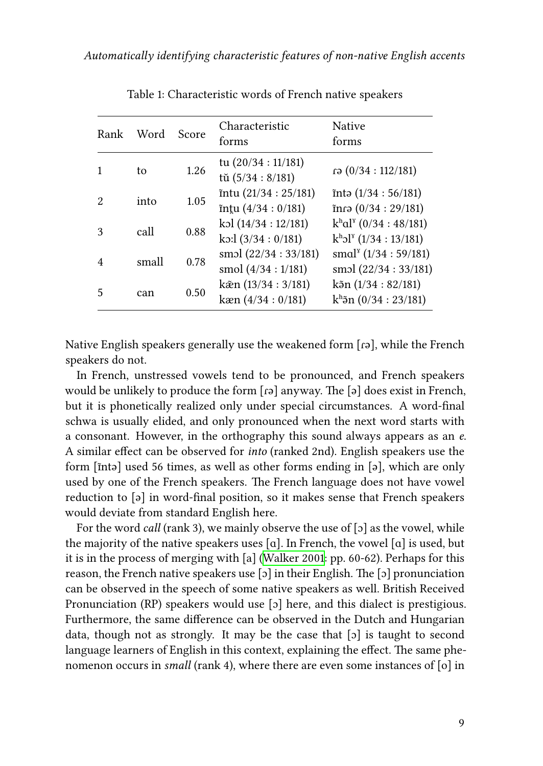| Rank | Word  | Score | Characteristic<br>forms                           | <b>Native</b><br>forms                                                                  |
|------|-------|-------|---------------------------------------------------|-----------------------------------------------------------------------------------------|
|      | to    | 1.26  | tu $(20/34:11/181)$<br>$t\ddot{u}$ (5/34 : 8/181) | rə $(0/34:112/181)$                                                                     |
| 2    | into  | 1.05  | ĩntu (21/34 : 25/181)<br>intu(4/34:0/181)         | $\text{into} (1/34:56/181)$<br>$\text{Im} \mathfrak{c}_9(0/34:29/181)$                  |
|      | call  | 0.88  | kol (14/34 : 12/181)<br>ko: $1(3/34:0/181)$       | $k^{\text{h}}$ al <sup>y</sup> (0/34 : 48/181)<br>$k^h$ ol <sup>y</sup> (1/34 : 13/181) |
| 4    | small | 0.78  | smol (22/34:33/181)<br>smol $(4/34:1/181)$        | smal <sup><math>\frac{1}{2}</math></sup> (1/34 : 59/181)<br>smol (22/34:33/181)         |
| 5    | can   | 0.50  | kæn (13/34:3/181)<br>kæn $(4/34:0/181)$           | $k\tilde{a}n(1/34:82/181)$<br>$k^h$ ən $(0/34:23/181)$                                  |

<span id="page-8-0"></span>Table 1: Characteristic words of French native speakers

Native English speakers generally use the weakened form [ɾə], while the French speakers do not.

In French, unstressed vowels tend to be pronounced, and French speakers would be unlikely to produce the form  $\lceil r \rceil$  anyway. The  $\lceil r \rceil$  does exist in French, but it is phonetically realized only under special circumstances. A word-final schwa is usually elided, and only pronounced when the next word starts with a consonant. However, in the orthogr[aphy this sou](#page-16-11)nd always appears as an *e*. A similar effect can be observed for *into* (ranked 2nd). English speakers use the form  $[$ intə $]$  used 56 times, as well as other forms ending in  $[$ ə $]$ , which are only used by one of the French speakers. The French language does not have vowel reduction to [ə] in word-final position, so it makes sense that French speakers would deviate from standard English here.

For the word *call* (rank 3), we mainly observe the use of [ɔ] as the vowel, while the majority of the native speakers uses [ɑ]. In French, the vowel [ɑ] is used, but it is in the process of merging with [a] (Walker 2001: pp. 60-62). Perhaps for this reason, the French native speakers use [ɔ] in their English. The [ɔ] pronunciation can be observed in the speech of some native speakers as well. British Received Pronunciation (RP) speakers would use [ɔ] here, and this dialect is prestigious. Furthermore, the same difference can be observed in the Dutch and Hungarian data, though not as strongly. It may be the case that [ɔ] is taught to second language learners of English in this context, explaining the effect. The same phenomenon occurs in *small* (rank 4), where there are even some instances of [o] in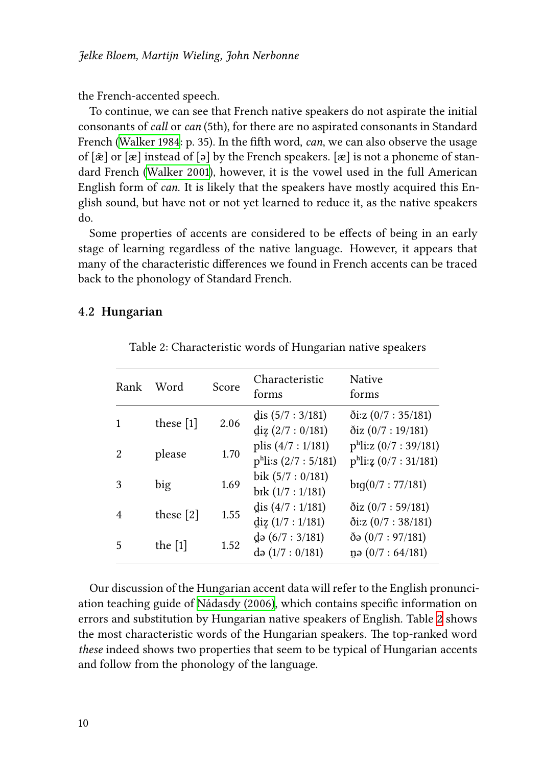the French-accented speech.

To continue, we can see that French native speakers do not aspirate the initial consonants of *call* or *can* (5th), for there are no aspirated consonants in Standard French (Walker 1984: p. 35). In the fifth word, *can*, we can also observe the usage of  $[\tilde{\mathcal{X}}]$  or  $[\mathcal{X}]$  instead of  $[\mathfrak{z}]$  by the French speakers.  $[\mathcal{X}]$  is not a phoneme of standard French (Walker 2001), however, it is the vowel used in the full American English form of *can*. It is likely that the speakers have mostly acquired this English sound, but have not or not yet learned to reduce it, as the native speakers do.

Some properties of accents are considered to be effects of being in an early stage of learning regardless of the native language. However, it appears that many of the characteristic differences we found in French accents can be traced back to the phonology of Standard French.

## **4.2 Hungarian**

| Rank           | Word      | Score | Characteristic<br>forms                       | <b>Native</b><br>forms                                     |
|----------------|-----------|-------|-----------------------------------------------|------------------------------------------------------------|
| $\mathbf{1}$   | these [1] | 2.06  | dis (5/7:3/181)<br>$\text{diz}$ (2/7 : 0/181) | $\delta$ i:z (0/7 : 35/181)<br>$\delta$ iz (0/7:19/181)    |
| 2              | please    | 1.70  | plis $(4/7:1/181)$<br>phlis $(2/7:5/181)$     | $p^h$ li:z (0/7 : 39/181)<br>$p^h$ li: $\zeta(0/7:31/181)$ |
| 3              | big       | 1.69  | bik $(5/7:0/181)$<br>bik $(1/7:1/181)$        | $b \text{rg}(0/7:77/181)$                                  |
| $\overline{4}$ | these [2] | 1.55  | dis $(4/7:1/181)$<br>$\text{diz}(1/7:1/181)$  | $\delta$ iz (0/7:59/181)<br>$\delta$ i:z (0/7:38/181)      |
| 5              | the $[1]$ | 1.52  | $d \circ (6/7:3/181)$<br>də $(1/7:0/181)$     | ðə (0/7:97/181)<br>$p \neq (0/7:64/181)$                   |

Table 2: Characteristic words of Hungarian native speakers

Our discussion of the Hungarian accent data will refer to the English pronunciation teaching guide of Nádasdy (2006), which contains specific information on errors and substitution by Hungarian native speakers of English. Table 2 shows the most characteristic words of the Hungarian speakers. The top-ranked word *these* indeed shows two properties that seem to be typical of Hungarian accents and follow from the phonology of the language.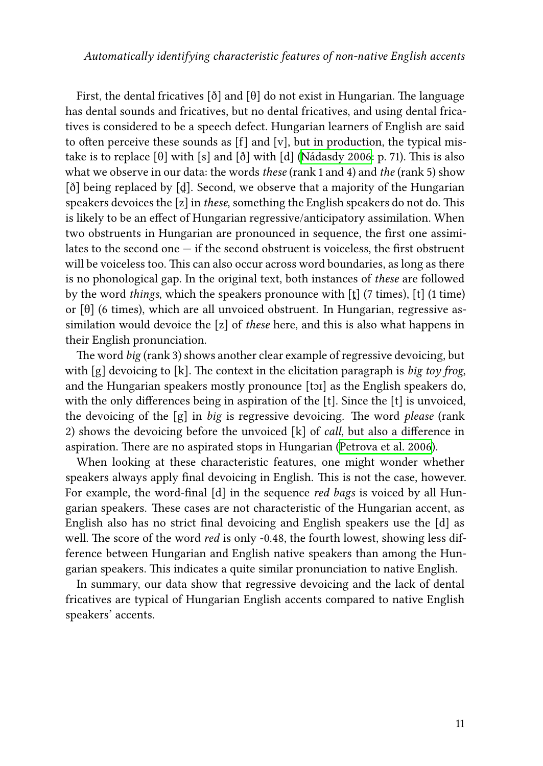First, the dental fricatives [ $\delta$ ] and [ $\theta$ ] do not exist in Hungarian. The language has dental sounds and fricatives, but no dental fricatives, and using dental fricatives is considered to be a speech defect. Hungarian learners of English are said to often perceive these sounds as  $[f]$  and  $[v]$ , but in production, the typical mistake is to replace [θ] with [s] and [ð] with [d] (Nádasdy 2006: p. 71). This is also what we observe in our data: the words *these* (rank 1 and 4) and *the* (rank 5) show  $[\delta]$  being replaced by  $[d]$ . Second, we observe that a majority of the Hungarian speakers devoices the [z] in *these*, something the English speakers do not do. This is likely to be an effect of Hungarian regressive/anticipatory assimilation. When two obstruents in Hungarian are pronounced in sequence, the first one assimilates to the second one  $-$  if the second obstruent is voiceless, the first obstruent will be voiceless too. This can also occur across word boundaries, as long as there is no phonological gap. In the original text, both instances of *these* are followed by the word *things*, which the speakers pronounce with [t̪] (7 times), [t] (1 time) or  $[\theta]$  (6 times), which are all unvoiced obstruent. In Hungarian, regressive assimilation would devoice the [z] of *these* here, and thi[s is also what happ](#page-16-12)ens in their English pronunciation.

The word *big* (rank 3) shows another clear example of regressive devoicing, but with [g] devoicing to [k]. The context in the elicitation paragraph is *big toy frog*, and the Hungarian speakers mostly pronounce [tɔɪ] as the English speakers do, with the only differences being in aspiration of the [t]. Since the [t] is unvoiced, the devoicing of the [g] in *big* is regressive devoicing. The word *please* (rank 2) shows the devoicing before the unvoiced [k] of *call*, but also a difference in aspiration. There are no aspirated stops in Hungarian (Petrova et al. 2006).

When looking at these characteristic features, one might wonder whether speakers always apply final devoicing in English. This is not the case, however. For example, the word-final [d] in the sequence *red bags* is voiced by all Hungarian speakers. These cases are not characteristic of the Hungarian accent, as English also has no strict final devoicing and English speakers use the [d] as well. The score of the word *red* is only -0.48, the fourth lowest, showing less difference between Hungarian and English native speakers than among the Hungarian speakers. This indicates a quite similar pronunciation to native English.

In summary, our data show that regressive devoicing and the lack of dental fricatives are typical of Hungarian English accents compared to native English speakers' accents.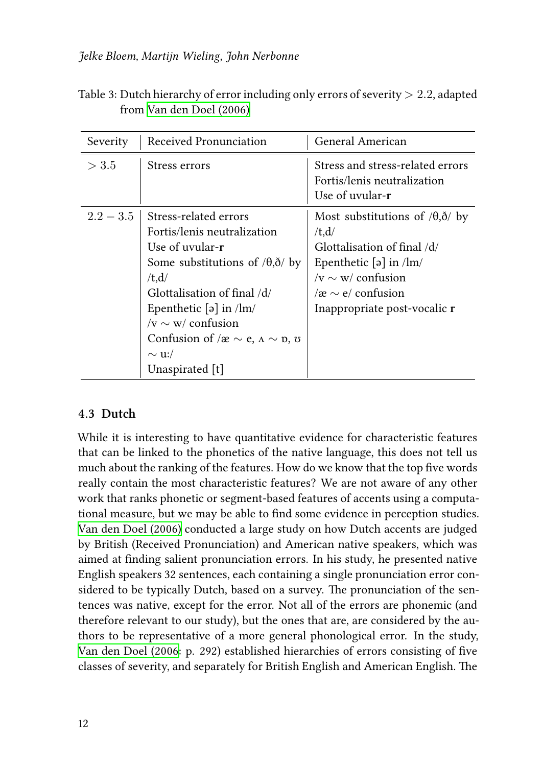<span id="page-11-0"></span>Table 3: Dutch hierarchy of error including only errors of severity *>* 2*.*2, adapted from Van den Doel (2006)

| Severity    | Received Pronunciation                                                                                                                                                                                                                                                                                                        | General American                                                                                                                                                                                                 |
|-------------|-------------------------------------------------------------------------------------------------------------------------------------------------------------------------------------------------------------------------------------------------------------------------------------------------------------------------------|------------------------------------------------------------------------------------------------------------------------------------------------------------------------------------------------------------------|
| >3.5        | Stress errors                                                                                                                                                                                                                                                                                                                 | Stress and stress-related errors<br>Fortis/lenis neutralization<br>Use of uvular-r                                                                                                                               |
| $2.2 - 3.5$ | Stress-related errors<br>Fortis/lenis neutralization<br>Use of uvular-r<br>Some substitutions of $/\theta$ , $\delta$ / by<br>/t.d/<br>Glottalisation of final /d/<br>Epenthetic $\lceil a \rceil$ in /lm/<br>/v $\sim$ w/ confusion<br>Confusion of /x $\sim$ e, $\Lambda \sim$ p, $\sigma$<br>$\sim$ u:/<br>Unaspirated [t] | Most substitutions of $\theta$ , $\delta$ by<br>/t.d/<br>Glottalisation of final /d/<br>Epenthetic $\lceil a \rceil$ in /lm/<br>/v $\sim$ w/ confusion<br>/æ $\sim$ e/ confusion<br>Inappropriate post-vocalic r |

## **[4.3 Dutch](#page-15-0)**

While it is interesting to have quantitative evidence for characteristic features that can be linked to the phonetics of the native language, this does not tell us much about the ranking of the features. How do we know that the top five words really contain the most characteristic features? We are not aware of any other work that ranks phonetic or segment-based features of accents using a computational measure, but we may be able to find some evidence in perception studies. [Van den Doel \(2006\)](#page-15-0) conducted a large study on how Dutch accents are judged by British (Received Pronunciation) and American native speakers, which was aimed at finding salient pronunciation errors. In his study, he presented native English speakers 32 sentences, each containing a single pronunciation error considered to be typically Dutch, based on a survey. The pronunciation of the sentences was native, except for the error. Not all of the errors are phonemic (and therefore relevant to our study), but the ones that are, are considered by the authors to be representative of a more general phonological error. In the study, Van den Doel (2006: p. 292) established hierarchies of errors consisting of five classes of severity, and separately for British English and American English. The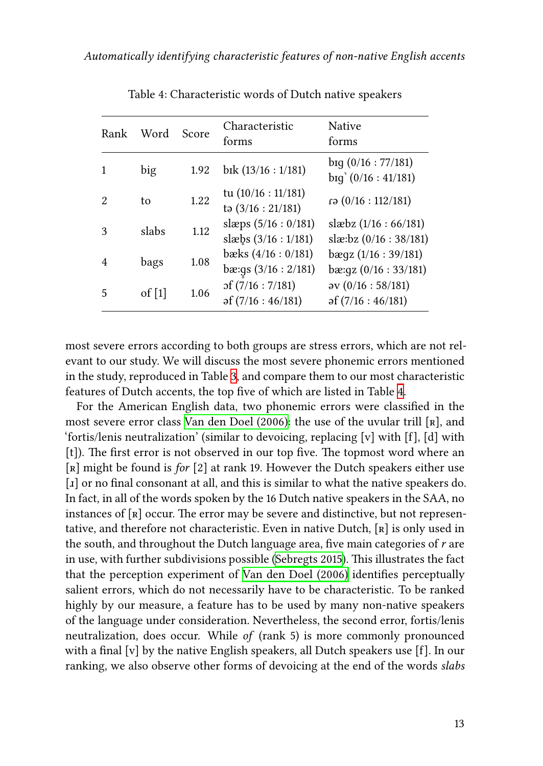| Rank                        | Word     | Score | Characteristic<br>torms                      | <b>Native</b><br>forms                              |
|-----------------------------|----------|-------|----------------------------------------------|-----------------------------------------------------|
|                             | big      | 1.92  | bik $(13/16:1/181)$                          | $\text{brq}(0/16:77/181)$<br>$big'$ (0/16 : 41/181) |
| $\mathcal{D}_{\mathcal{L}}$ | to       | 1.22  | tu (10/16:11/181)<br>tə $(3/16:21/181)$      | rə $(0/16:112/181)$                                 |
| 3                           | slabs    | 1.12  | slæps (5/16: 0/181)<br>slæbs (3/16 : 1/181)  | slæbz $(1/16:66/181)$<br>slæ:bz (0/16:38/181)       |
| 4                           | bags     | 1.08  | bæks $(4/16: 0/181)$<br>bæ:gs (3/16 : 2/181) | $b$ æqz $(1/16:39/181)$<br>bæ:qz(0/16:33/181)       |
| 5                           | of $[1]$ | 1.06  | of $(7/16:7/181)$<br>of (7/16:46/181)        | $\partial v$ (0/16 : 58/181)<br>of (7/16:46/181)    |

<span id="page-12-0"></span>Table 4: Characteristic words of Dutch native speakers

most severe errors according to both groups are stress errors, which are not relevant to our study. We will discuss the most severe phonemic errors mentioned in the study, reproduced in Table 3, and compare them to our most characteristic features of Dutch accents, the top five of which are listed in Table 4.

For the American English data, two phonemic errors were classified in the most severe error class Van den Doel (2006): the use of the uvular trill [ʀ], and 'fortis/lenis neutralization' (similar to dev[oicing, replaci](#page-16-13)ng  $[v]$  with  $[f]$ ,  $[d]$  with [t]). The first error is not observed [in our top five. The to](#page-15-0)pmost word where an [ʀ] might be found is *for* [2] at rank 19. However the Dutch speakers either use [1] or no final consonant at all, and this is similar to what the native speakers do. In fact, in all of the words spoken by the 16 Dutch native speakers in the SAA, no instances of [ʀ] occur. The error may be severe and distinctive, but not representative, and therefore not characteristic. Even in native Dutch, [ʀ] is only used in the south, and throughout the Dutch language area, five main categories of *r* are in use, with further subdivisions possible (Sebregts 2015). This illustrates the fact that the perception experiment of Van den Doel (2006) identifies perceptually salient errors, which do not necessarily have to be characteristic. To be ranked highly by our measure, a feature has to be used by many non-native speakers of the language under consideration. Nevertheless, the second error, fortis/lenis neutralization, does occur. While *of* (rank 5) is more commonly pronounced with a final  $[v]$  by the native English speakers, all Dutch speakers use  $[f]$ . In our ranking, we also observe other forms of devoicing at the end of the words *slabs*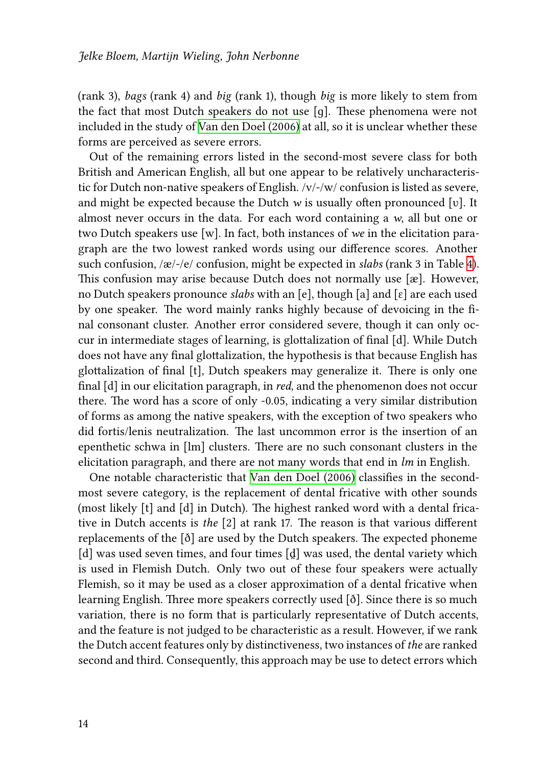(rank 3), *bags* (rank 4) and *big* (rank 1), though *big* is more likely to stem from the fact that most Dutch speakers do not use [ɡ]. These phenomena were not included in the study of Van den Doel (2006) at all, so it is unclear whether the[se](#page-12-0) forms are perceived as severe errors.

Out of the remaining errors listed in the second-most severe class for both British and American English, all but one appear to be relatively uncharacteristic for Dutch non-native speakers of English. /v/-/w/ confusion is listed as severe, and might be expected because the Dutch *w* is usually often pronounced [ʋ]. It almost never occurs in the data. For each word containing a *w*, all but one or two Dutch speakers use [w]. In fact, both instances of *we* in the elicitation paragraph are the two lowest ranked words using our difference scores. Another such confusion, /æ/-/e/ confusion, might be expected in *slabs* (rank 3 in Table 4). This confusion may arise because Dutch does not normally use [æ]. However, no Dutch speakers pronounce *slabs* with an [e], though [a] and [ɛ] are each used by one speaker. The word mainly ranks highly because of devoicing in the final consonant cluster. Another error considered severe, though it can only occur in intermediate stages of learning, is glottalization of final [d]. While Dutch does not have any final glottalizati[on, the hypothesis is](#page-15-0) that because English has glottalization of final [t], Dutch speakers may generalize it. There is only one final [d] in our elicitation paragraph, in *red*, and the phenomenon does not occur there. The word has a score of only -0.05, indicating a very similar distribution of forms as among the native speakers, with the exception of two speakers who did fortis/lenis neutralization. The last uncommon error is the insertion of an epenthetic schwa in [lm] clusters. There are no such consonant clusters in the elicitation paragraph, and there are not many words that end in *lm* in English.

One notable characteristic that Van den Doel (2006) classifies in the secondmost severe category, is the replacement of dental fricative with other sounds (most likely [t] and [d] in Dutch). The highest ranked word with a dental fricative in Dutch accents is *the* [2] at rank 17. The reason is that various different replacements of the [ð] are used by the Dutch speakers. The expected phoneme [d] was used seven times, and four times [d̪] was used, the dental variety which is used in Flemish Dutch. Only two out of these four speakers were actually Flemish, so it may be used as a closer approximation of a dental fricative when learning English. Three more speakers correctly used [ð]. Since there is so much variation, there is no form that is particularly representative of Dutch accents, and the feature is not judged to be characteristic as a result. However, if we rank the Dutch accent features only by distinctiveness, two instances of *the* are ranked second and third. Consequently, this approach may be use to detect errors which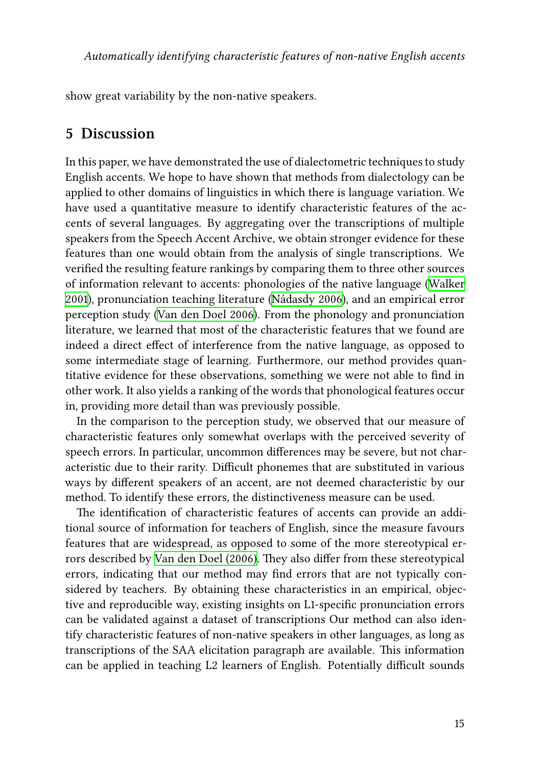show great variability by the non-native speakers.

# **5 Discussion**

In this paper, we have demonstrated the use of dialectometric techniques [to study](#page-16-11) [Engl](#page-16-11)ish accents. We hope to have shown [that methods f](#page-15-7)rom dialectology can be applied to other d[omains of linguistics](#page-15-0) in which there is language variation. We have used a quantitative measure to identify characteristic features of the accents of several languages. By aggregating over the transcriptions of multiple speakers from the Speech Accent Archive, we obtain stronger evidence for these features than one would obtain from the analysis of single transcriptions. We verified the resulting feature rankings by comparing them to three other sources of information relevant to accents: phonologies of the native language (Walker 2001), pronunciation teaching literature (Nádasdy 2006), and an empirical error perception study (Van den Doel 2006). From the phonology and pronunciation literature, we learned that most of the characteristic features that we found are indeed a direct effect of interference from the native language, as opposed to some intermediate stage of learning. Furthermore, our method provides quantitative evidence for these observations, something we were not able to find in other work. It also yields a ranking of the words that phonological features occur in, providing more detail than was previously possible.

In the comparison to the perception study, we observed that our measure of characteristic fea[tures only somewhat](#page-15-0) overlaps with the perceived severity of speech errors. In particular, uncommon differences may be severe, but not characteristic due to their rarity. Difficult phonemes that are substituted in various ways by different speakers of an accent, are not deemed characteristic by our method. To identify these errors, the distinctiveness measure can be used.

The identification of characteristic features of accents can provide an additional source of information for teachers of English, since the measure favours features that are widespread, as opposed to some of the more stereotypical errors described by Van den Doel (2006). They also differ from these stereotypical errors, indicating that our method may find errors that are not typically considered by teachers. By obtaining these characteristics in an empirical, objective and reproducible way, existing insights on L1-specific pronunciation errors can be validated against a dataset of transcriptions Our method can also identify characteristic features of non-native speakers in other languages, as long as transcriptions of the SAA elicitation paragraph are available. This information can be applied in teaching L2 learners of English. Potentially difficult sounds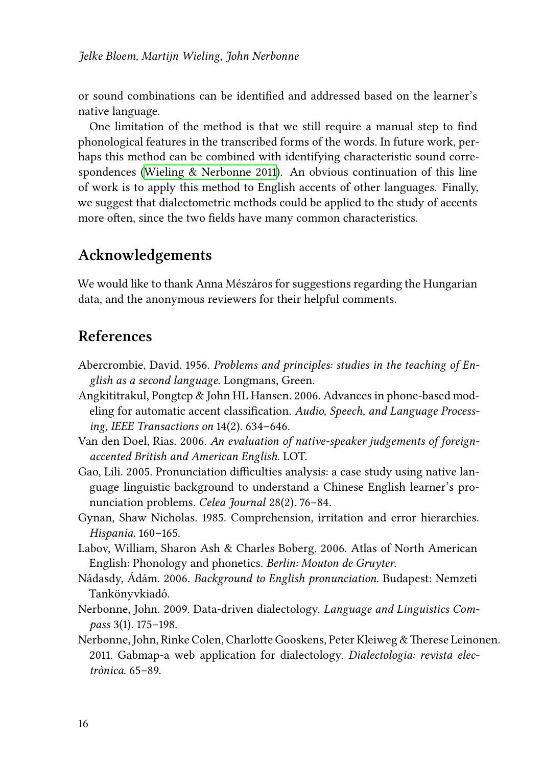or sound combinations can be identified and addressed based on the learner's native language.

One limitation of the method is that we still require a manual step to find phonological features in the transcribed forms of the words. In future work, perhaps this method can be combined with identifying characteristic sound correspondences (Wieling & Nerbonne 2011). An obvious continuation of this line of work is to apply this method to English accents of other languages. Finally, we suggest that dialectometric methods could be applied to the study of accents more often, since the two fields have many common characteristics.

# <span id="page-15-4"></span><span id="page-15-1"></span>**Acknowledgements**

We would like to thank Anna Mészáros for suggestions regarding the Hungarian data, and the anonymous reviewers for their helpful comments.

# <span id="page-15-3"></span><span id="page-15-0"></span>**References**

- Abercrombie, David. 1956. *Problems and principles: studies in the teaching of English as a second language*. Longmans, Green.
- <span id="page-15-2"></span>Angkititrakul, Pongtep & John HL Hansen. 2006. Advances in phone-based modeling for automatic accent classification. *Audio, Speech, and Language Processing, IEEE Transactions on* 14(2). 634–646.
- <span id="page-15-7"></span><span id="page-15-5"></span>Van den Doel, Rias. 2006. *An evaluation of native-speaker judgements of foreignaccented British and American English*. LOT.
- Gao, Lili. 2005. Pronunciation difficulties analysis: a case study using native language linguistic background to understand a Chinese English learner's pronunciation problems. *Celea Journal* 28(2). 76–84.
- <span id="page-15-6"></span>Gynan, Shaw Nicholas. 1985. Comprehension, irritation and error hierarchies. *Hispania*. 160–165.
- Labov, William, Sharon Ash & Charles Boberg. 2006. Atlas of North American English: Phonology and phonetics. *Berlin: Mouton de Gruyter*.
- Nádasdy, Ádám. 2006. *Background to English pronunciation*. Budapest: Nemzeti Tankönyvkiadó.
- Nerbonne, John. 2009. Data-driven dialectology. *Language and Linguistics Compass* 3(1). 175–198.
- Nerbonne, John, Rinke Colen, Charlotte Gooskens, Peter Kleiweg & Therese Leinonen. 2011. Gabmap-a web application for dialectology. *Dialectologia: revista electrònica*. 65–89.